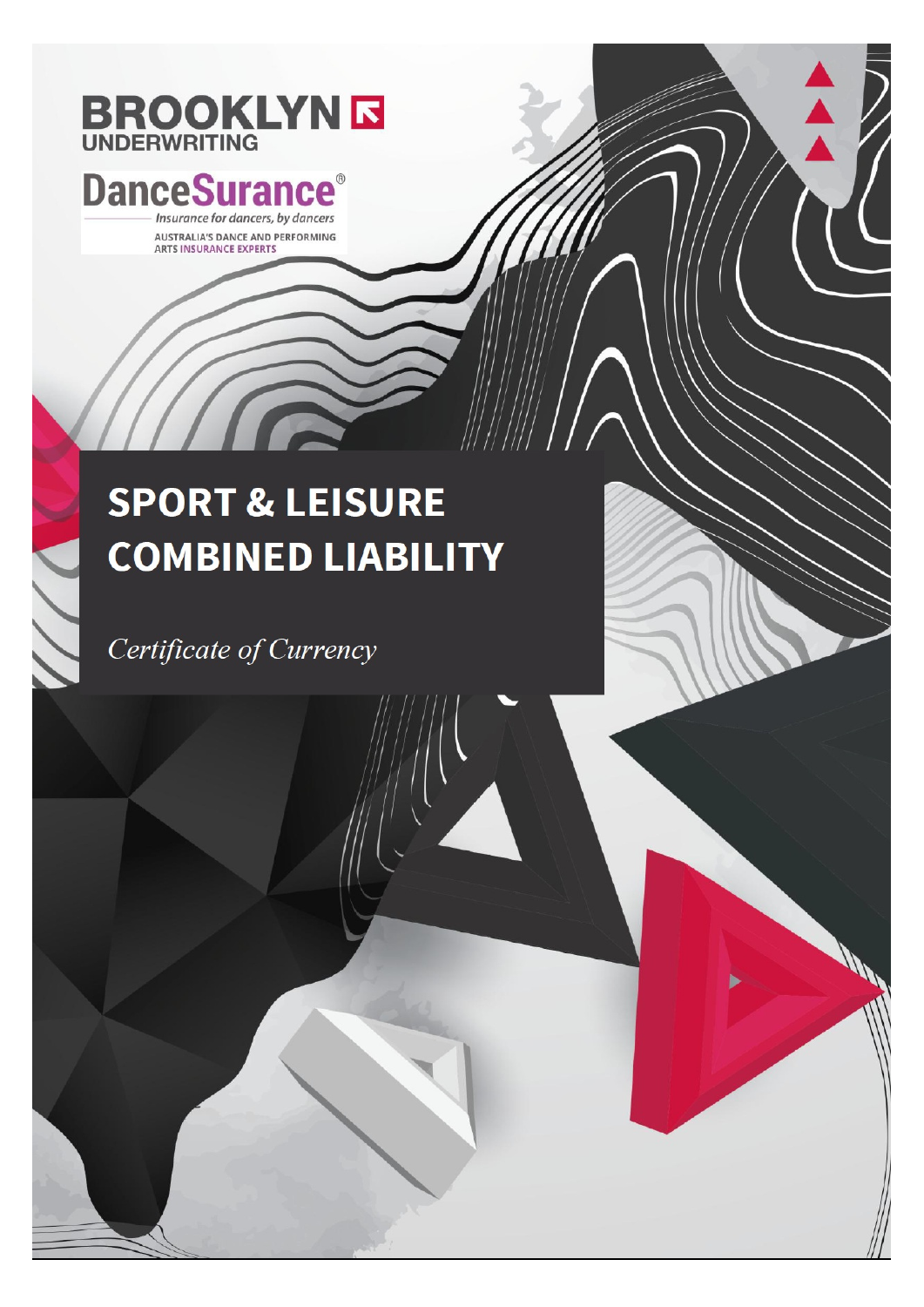# **BROOKLYNE**

### **DanceSurance** Insurance for dancers, by dancers

AUSTRALIA'S DANCE AND PERFORMING ARTS INSURANCE EXPERTS

## **SPORT & LEISURE COMBINED LIABILITY**

Certificate of Currency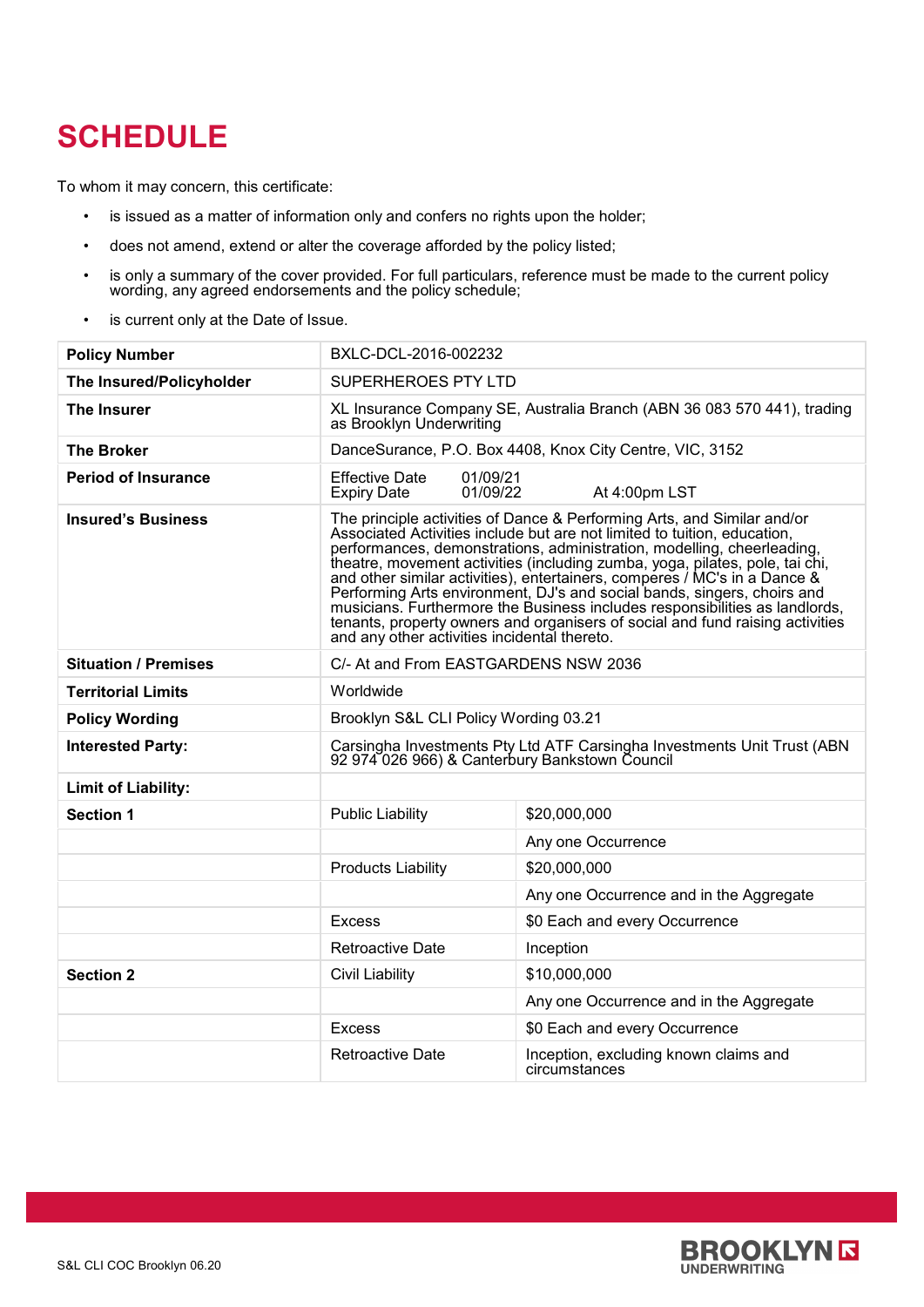## **SCHEDULE**

To whom it may concern, this certificate:

- is issued as a matter of information only and confers no rights upon the holder;
- does not amend, extend or alter the coverage afforded by the policy listed;
- is only a summary of the cover provided. For full particulars, reference must be made to the current policy wording, any agreed endorsements and the policy schedule;
- is current only at the Date of Issue.

| <b>Policy Number</b>        | BXLC-DCL-2016-002232                                                                                                                                                                                                                                                                                                                                                                                                                                                                                                                                                                                                                                                                  |                                                        |
|-----------------------------|---------------------------------------------------------------------------------------------------------------------------------------------------------------------------------------------------------------------------------------------------------------------------------------------------------------------------------------------------------------------------------------------------------------------------------------------------------------------------------------------------------------------------------------------------------------------------------------------------------------------------------------------------------------------------------------|--------------------------------------------------------|
| The Insured/Policyholder    | SUPERHEROES PTY LTD                                                                                                                                                                                                                                                                                                                                                                                                                                                                                                                                                                                                                                                                   |                                                        |
| <b>The Insurer</b>          | XL Insurance Company SE, Australia Branch (ABN 36 083 570 441), trading<br>as Brooklyn Underwriting                                                                                                                                                                                                                                                                                                                                                                                                                                                                                                                                                                                   |                                                        |
| The Broker                  | DanceSurance, P.O. Box 4408, Knox City Centre, VIC, 3152                                                                                                                                                                                                                                                                                                                                                                                                                                                                                                                                                                                                                              |                                                        |
| <b>Period of Insurance</b>  | <b>Effective Date</b><br>01/09/21<br>01/09/22<br><b>Expiry Date</b>                                                                                                                                                                                                                                                                                                                                                                                                                                                                                                                                                                                                                   | At 4:00pm LST                                          |
| <b>Insured's Business</b>   | The principle activities of Dance & Performing Arts, and Similar and/or<br>Associated Activities include but are not limited to tuition, education,<br>performances, demonstrations, administration, modelling, cheerleading,<br>theatre, movement activities (including zumba, yoga, pilates, pole, tai chi,<br>and other similar activities), entertainers, comperes / MC's in a Dance &<br>Performing Arts environment, DJ's and social bands, singers, choirs and<br>musicians. Furthermore the Business includes responsibilities as landlords,<br>tenants, property owners and organisers of social and fund raising activities<br>and any other activities incidental thereto. |                                                        |
| <b>Situation / Premises</b> | C/- At and From EASTGARDENS NSW 2036                                                                                                                                                                                                                                                                                                                                                                                                                                                                                                                                                                                                                                                  |                                                        |
| <b>Territorial Limits</b>   | Worldwide                                                                                                                                                                                                                                                                                                                                                                                                                                                                                                                                                                                                                                                                             |                                                        |
| <b>Policy Wording</b>       | Brooklyn S&L CLI Policy Wording 03.21                                                                                                                                                                                                                                                                                                                                                                                                                                                                                                                                                                                                                                                 |                                                        |
| <b>Interested Party:</b>    | Carsingha Investments Pty Ltd ATF Carsingha Investments Unit Trust (ABN<br>92 974 026 966) & Canterbury Bankstown Council                                                                                                                                                                                                                                                                                                                                                                                                                                                                                                                                                             |                                                        |
| <b>Limit of Liability:</b>  |                                                                                                                                                                                                                                                                                                                                                                                                                                                                                                                                                                                                                                                                                       |                                                        |
| <b>Section 1</b>            | <b>Public Liability</b>                                                                                                                                                                                                                                                                                                                                                                                                                                                                                                                                                                                                                                                               | \$20,000,000                                           |
|                             |                                                                                                                                                                                                                                                                                                                                                                                                                                                                                                                                                                                                                                                                                       | Any one Occurrence                                     |
|                             | <b>Products Liability</b>                                                                                                                                                                                                                                                                                                                                                                                                                                                                                                                                                                                                                                                             | \$20,000,000                                           |
|                             |                                                                                                                                                                                                                                                                                                                                                                                                                                                                                                                                                                                                                                                                                       | Any one Occurrence and in the Aggregate                |
|                             | <b>Excess</b>                                                                                                                                                                                                                                                                                                                                                                                                                                                                                                                                                                                                                                                                         | \$0 Each and every Occurrence                          |
|                             | <b>Retroactive Date</b>                                                                                                                                                                                                                                                                                                                                                                                                                                                                                                                                                                                                                                                               | Inception                                              |
| <b>Section 2</b>            | <b>Civil Liability</b>                                                                                                                                                                                                                                                                                                                                                                                                                                                                                                                                                                                                                                                                | \$10,000,000                                           |
|                             |                                                                                                                                                                                                                                                                                                                                                                                                                                                                                                                                                                                                                                                                                       | Any one Occurrence and in the Aggregate                |
|                             | <b>Excess</b>                                                                                                                                                                                                                                                                                                                                                                                                                                                                                                                                                                                                                                                                         | \$0 Each and every Occurrence                          |
|                             | <b>Retroactive Date</b>                                                                                                                                                                                                                                                                                                                                                                                                                                                                                                                                                                                                                                                               | Inception, excluding known claims and<br>circumstances |

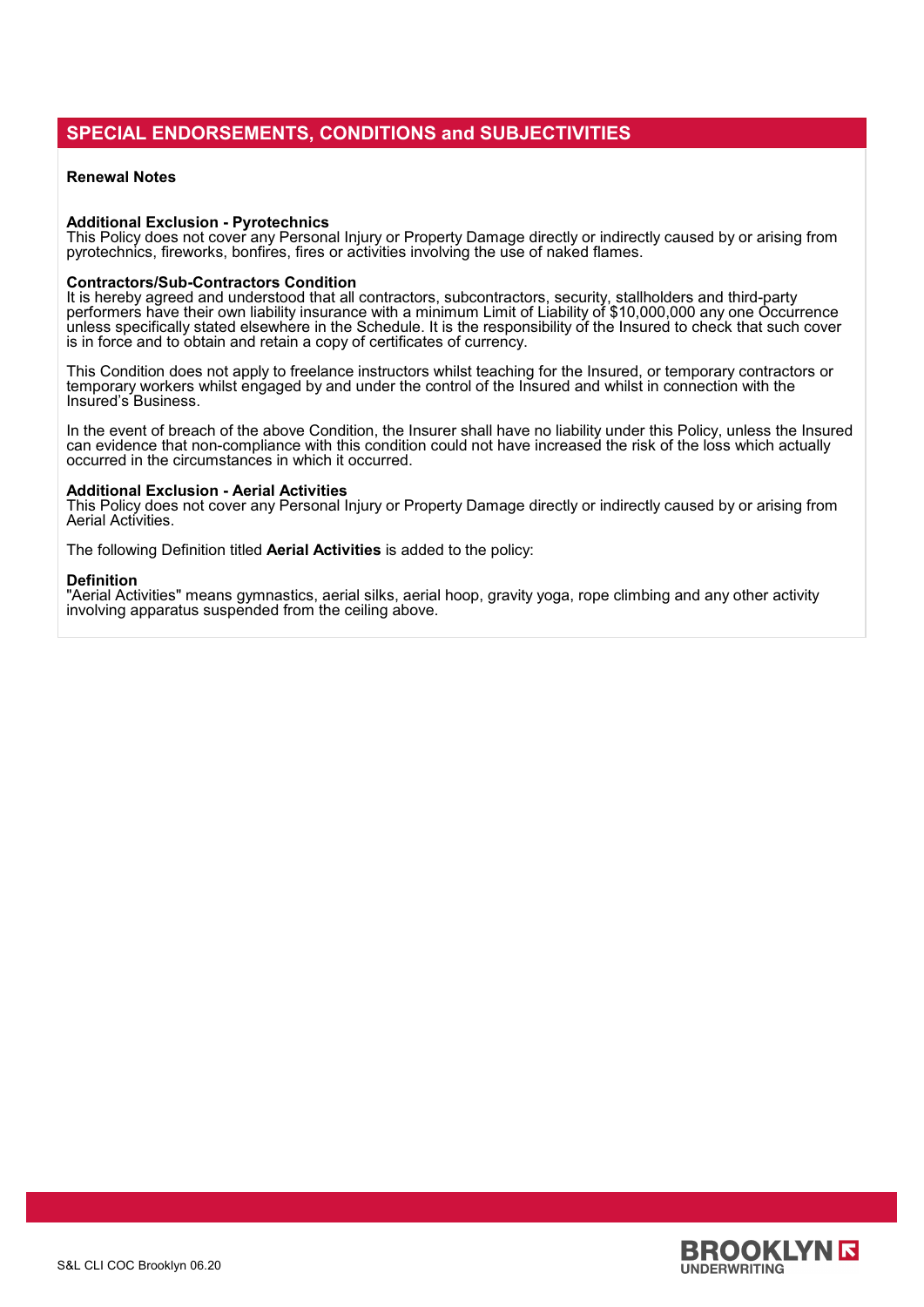#### **SPECIAL ENDORSEMENTS, CONDITIONS and SUBJECTIVITIES**

#### **Renewal Notes**

#### **Additional Exclusion - Pyrotechnics**

This Policy does not cover any Personal Injury or Property Damage directly or indirectly caused by or arising from pyrotechnics, fireworks, bonfires, fires or activities involving the use of naked flames.

#### **Contractors/Sub-Contractors Condition**

It is hereby agreed and understood that all contractors, subcontractors, security, stallholders and third-party performers have their own liability insurance with a minimum Limit of Liability of \$10,000,000 any one Occurrence unless specifically stated elsewhere in the Schedule. It is the responsibility of the Insured to check that such cover is in force and to obtain and retain a copy of certificates of currency.

This Condition does not apply to freelance instructors whilst teaching for the Insured, or temporary contractors or temporary workers whilst engaged by and under the control of the Insured and whilst in connection with the Insured's Business.

In the event of breach of the above Condition, the Insurer shall have no liability under this Policy, unless the Insured can evidence that non-compliance with this condition could not have increased the risk of the loss which actually occurred in the circumstances in which it occurred.

#### **Additional Exclusion - Aerial Activities**

This Policy does not cover any Personal Injury or Property Damage directly or indirectly caused by or arising from Aerial Activities.

The following Definition titled **Aerial Activities** is added to the policy:

#### **Definition**

"Aerial Activities" means gymnastics, aerial silks, aerial hoop, gravity yoga, rope climbing and any other activity involving apparatus suspended from the ceiling above.

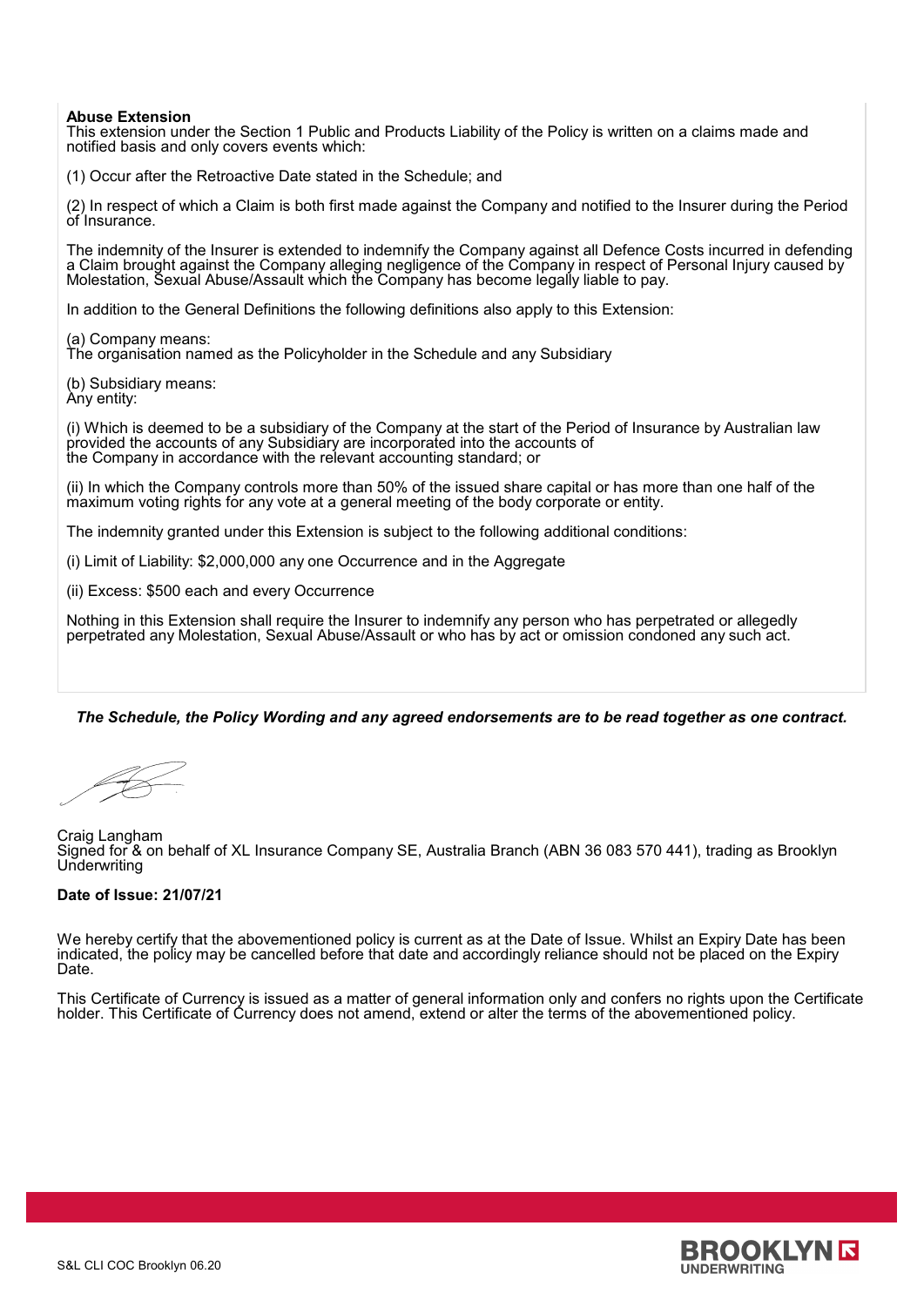#### **Abuse Extension**

This extension under the Section 1 Public and Products Liability of the Policy is written on a claims made and notified basis and only covers events which:

(1) Occur after the Retroactive Date stated in the Schedule; and

(2) In respect of which a Claim is both first made against the Company and notified to the Insurer during the Period of Insurance.

The indemnity of the Insurer is extended to indemnify the Company against all Defence Costs incurred in defending a Claim brought against the Company alleging negligence of the Company in respect of Personal Injury caused by Molestation, Sexual Abuse/Assault which the Company has become legally liable to pay.

In addition to the General Definitions the following definitions also apply to this Extension:

(a) Company means:

The organisation named as the Policyholder in the Schedule and any Subsidiary

(b) Subsidiary means: Any entity:

(i) Which is deemed to be a subsidiary of the Company at the start of the Period of Insurance by Australian law provided the accounts of any Subsidiary are incorporated into the accounts of the Company in accordance with the relevant accounting standard; or

(ii) In which the Company controls more than 50% of the issued share capital or has more than one half of the maximum voting rights for any vote at a general meeting of the body corporate or entity.

The indemnity granted under this Extension is subject to the following additional conditions:

(i) Limit of Liability: \$2,000,000 any one Occurrence and in the Aggregate

(ii) Excess: \$500 each and every Occurrence

Nothing in this Extension shall require the Insurer to indemnify any person who has perpetrated or allegedly perpetrated any Molestation, Sexual Abuse/Assault or who has by act or omission condoned any such act.

*The Schedule, the Policy Wording and any agreed endorsements are to be read together as one contract.*

Craig Langham Signed for & on behalf of XL Insurance Company SE, Australia Branch (ABN 36 083 570 441), trading as Brooklyn **Underwriting** 

#### **Date of Issue: 21/07/21**

We hereby certify that the abovementioned policy is current as at the Date of Issue. Whilst an Expiry Date has been indicated, the policy may be cancelled before that date and accordingly reliance should not be placed on the Expiry Date.

This Certificate of Currency is issued as a matter of general information only and confers no rights upon the Certificate holder. This Certificate of Currency does not amend, extend or alter the terms of the abovementioned policy.